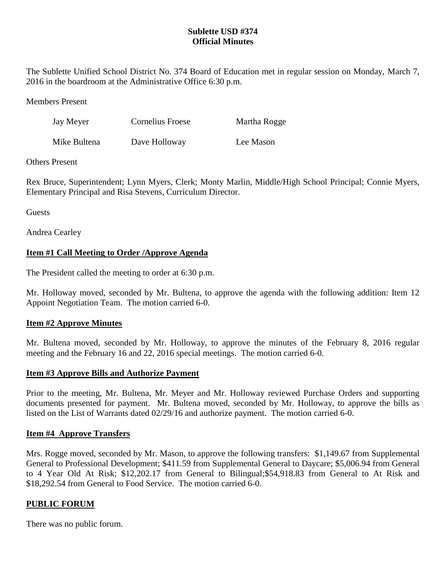# **Sublette USD #374 Official Minutes**

The Sublette Unified School District No. 374 Board of Education met in regular session on Monday, March 7, 2016 in the boardroom at the Administrative Office 6:30 p.m.

Members Present

| Jay Meyer    | <b>Cornelius Froese</b> | Martha Rogge |
|--------------|-------------------------|--------------|
| Mike Bultena | Dave Holloway           | Lee Mason    |

# Others Present

Rex Bruce, Superintendent; Lynn Myers, Clerk; Monty Marlin, Middle/High School Principal; Connie Myers, Elementary Principal and Risa Stevens, Curriculum Director.

Guests

Andrea Cearley

# **Item #1 Call Meeting to Order /Approve Agenda**

The President called the meeting to order at 6:30 p.m.

Mr. Holloway moved, seconded by Mr. Bultena, to approve the agenda with the following addition: Item 12 Appoint Negotiation Team. The motion carried 6-0.

# **Item #2 Approve Minutes**

Mr. Bultena moved, seconded by Mr. Holloway, to approve the minutes of the February 8, 2016 regular meeting and the February 16 and 22, 2016 special meetings. The motion carried 6-0.

# **Item #3 Approve Bills and Authorize Payment**

Prior to the meeting, Mr. Bultena, Mr. Meyer and Mr. Holloway reviewed Purchase Orders and supporting documents presented for payment. Mr. Bultena moved, seconded by Mr. Holloway, to approve the bills as listed on the List of Warrants dated 02/29/16 and authorize payment. The motion carried 6-0.

## **Item #4 Approve Transfers**

Mrs. Rogge moved, seconded by Mr. Mason, to approve the following transfers: \$1,149.67 from Supplemental General to Professional Development; \$411.59 from Supplemental General to Daycare; \$5,006.94 from General to 4 Year Old At Risk; \$12,202.17 from General to Bilingual;\$54,918.83 from General to At Risk and \$18,292.54 from General to Food Service. The motion carried 6-0.

# **PUBLIC FORUM**

There was no public forum.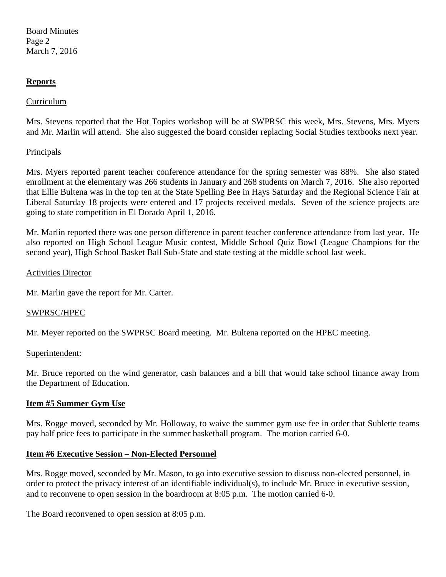Board Minutes Page 2 March 7, 2016

## **Reports**

## Curriculum

Mrs. Stevens reported that the Hot Topics workshop will be at SWPRSC this week, Mrs. Stevens, Mrs. Myers and Mr. Marlin will attend. She also suggested the board consider replacing Social Studies textbooks next year.

## Principals

Mrs. Myers reported parent teacher conference attendance for the spring semester was 88%. She also stated enrollment at the elementary was 266 students in January and 268 students on March 7, 2016. She also reported that Ellie Bultena was in the top ten at the State Spelling Bee in Hays Saturday and the Regional Science Fair at Liberal Saturday 18 projects were entered and 17 projects received medals. Seven of the science projects are going to state competition in El Dorado April 1, 2016.

Mr. Marlin reported there was one person difference in parent teacher conference attendance from last year. He also reported on High School League Music contest, Middle School Quiz Bowl (League Champions for the second year), High School Basket Ball Sub-State and state testing at the middle school last week.

#### Activities Director

Mr. Marlin gave the report for Mr. Carter.

## SWPRSC/HPEC

Mr. Meyer reported on the SWPRSC Board meeting. Mr. Bultena reported on the HPEC meeting.

#### Superintendent:

Mr. Bruce reported on the wind generator, cash balances and a bill that would take school finance away from the Department of Education.

## **Item #5 Summer Gym Use**

Mrs. Rogge moved, seconded by Mr. Holloway, to waive the summer gym use fee in order that Sublette teams pay half price fees to participate in the summer basketball program. The motion carried 6-0.

## **Item #6 Executive Session – Non-Elected Personnel**

Mrs. Rogge moved, seconded by Mr. Mason, to go into executive session to discuss non-elected personnel, in order to protect the privacy interest of an identifiable individual(s), to include Mr. Bruce in executive session, and to reconvene to open session in the boardroom at 8:05 p.m. The motion carried 6-0.

The Board reconvened to open session at 8:05 p.m.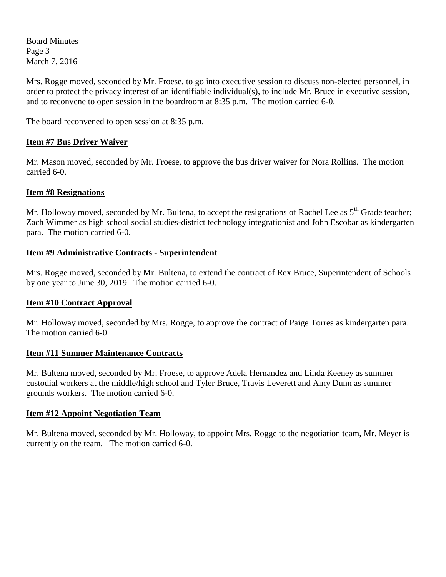Board Minutes Page 3 March 7, 2016

Mrs. Rogge moved, seconded by Mr. Froese, to go into executive session to discuss non-elected personnel, in order to protect the privacy interest of an identifiable individual(s), to include Mr. Bruce in executive session, and to reconvene to open session in the boardroom at 8:35 p.m. The motion carried 6-0.

The board reconvened to open session at 8:35 p.m.

## **Item #7 Bus Driver Waiver**

Mr. Mason moved, seconded by Mr. Froese, to approve the bus driver waiver for Nora Rollins. The motion carried 6-0.

## **Item #8 Resignations**

Mr. Holloway moved, seconded by Mr. Bultena, to accept the resignations of Rachel Lee as 5<sup>th</sup> Grade teacher; Zach Wimmer as high school social studies-district technology integrationist and John Escobar as kindergarten para. The motion carried 6-0.

## **Item #9 Administrative Contracts - Superintendent**

Mrs. Rogge moved, seconded by Mr. Bultena, to extend the contract of Rex Bruce, Superintendent of Schools by one year to June 30, 2019. The motion carried 6-0.

## **Item #10 Contract Approval**

Mr. Holloway moved, seconded by Mrs. Rogge, to approve the contract of Paige Torres as kindergarten para. The motion carried 6-0.

## **Item #11 Summer Maintenance Contracts**

Mr. Bultena moved, seconded by Mr. Froese, to approve Adela Hernandez and Linda Keeney as summer custodial workers at the middle/high school and Tyler Bruce, Travis Leverett and Amy Dunn as summer grounds workers. The motion carried 6-0.

## **Item #12 Appoint Negotiation Team**

Mr. Bultena moved, seconded by Mr. Holloway, to appoint Mrs. Rogge to the negotiation team, Mr. Meyer is currently on the team. The motion carried 6-0.